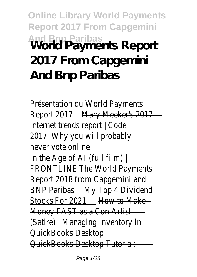**Online Library World Payments Report 2017 From Capgemini And Bnp Paribas World Payments Report 2017 From Capgemini And Bnp Paribas**

Présentation du World Payme Report 2017 Mary Meeker's 2017 internet trends report | Code 2017 Why you will probably never vote onlin In the Age of AI (full filn FRONTLINE The World Payment Report 2018 from Capgemini BNP Paribas My Top 4 Dividend Stocks For 2021 How to Make Money FAST as a Con Artist (Satire) Managing Inventory QuickBooks Deskto QuickBooks Desktop Tutori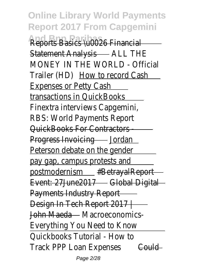**Online Library World Payments Report 2017 From Capgemini Reports Basics \u0026 Financial** Statement Analysis - ALL THE MONEY IN THE WORLD - Official Trailer (HD) How to record Cash Expenses or Petty Cash transactions in QuickBook Finextra interviews Capgemi RBS: World Payments Repo QuickBooks For Contractor Progress Invoicing - Jordan Peterson debate on the gend pay gap, campus protests a postmodernism #BetrayalReport Event: 27June2017 - Global Digita Payments Industry Report Design In Tech Report 2017 | John Maeda - Macroeconomics Everything You Need to Kno Quickbooks Tutorial - How Track PPP Loan Expenses Gould

Page 2/28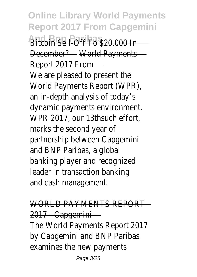**Online Library World Payments Report 2017 From Capgemini And Brought To \$20,000** December? - World Payments Report 2017 Fro We are pleased to present the World Payments Report (WP an in-depth analysis of toda dynamic payments environme WPR 2017, our 13thsuch eff marks the second year partnership between Capgem and BNP Paribas, a glob banking player and recognize leader in transaction banki and cash management

WORLD PAYMENTS REPO 2017 - Capgemini The World Payments Report 20 by Capgemini and BNP Parib examines the new paymer

Page 3/28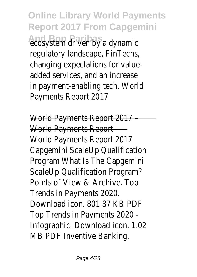**Online Library World Payments Report 2017 From Capgemini And Britan Britan Brand Brand Brand Brand Brand Brand Brand Brand Brand Brand Brand Brand Brand Brand Brand Br** regulatory landscape, FinTecl changing expectations for value added services, and an increa in payment-enabling tech. Wor Payments Report 20

World Payments Report 20 World Payments Report World Payments Report 20 Capgemini ScaleUp Qualificati Program What Is The Capgem ScaleUp Qualification Program Points of View & Archive. T Trends in Payments 202 Download icon. 801.87 KB P Top Trends in Payments 202 Infographic. Download icon. 1. MB PDF Inventive Bankir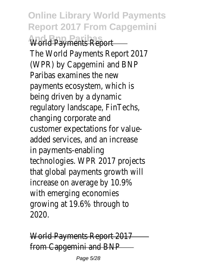**Online Library World Payments Report 2017 From Capgemini World Payments Repo** The World Payments Report 20 (WPR) by Capgemini and BI Paribas examines the ne payments ecosystem, which being driven by a dynam regulatory landscape, FinTecl changing corporate and customer expectations for valueadded services, and an increa in payments-enabling technologies. WPR 2017 project that global payments growth increase on average by 10.9 with emerging economi growing at 19.6% through 2020.

World Payments Report 20 from Capgemini and BN

Page 5/28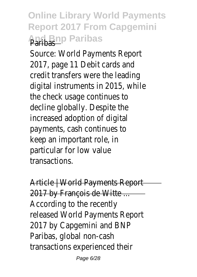## **Online Library World Payments Report 2017 From Capgemini And Bnp Paribas**

Source: World Payments Repo  $2017$ , page 11 Debit cards and credit transfers were the lead digital instruments in 2015, when the check usage continues decline globally. Despite the increased adoption of digit payments, cash continues keep an important role, particular for low value **transactions** 

Article | World Payments Repo 2017 by François de Witte ... According to the recent released World Payments Repo 2017 by Capgemini and B Paribas, global non-cas transactions experienced th

Page 6/28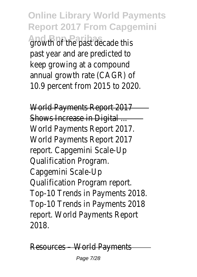**Online Library World Payments Report 2017 From Capgemini And Brunch Baribas decade** past year and are predicted keep growing at a compou annual growth rate (CAGR) 10.9 percent from 2015 to 20

World Payments Report 20 Shows Increase in Digital World Payments Report 20 World Payments Report 20 report. Capgemini Scale-U Qualification Program. Capgemini Scale-U Qualification Program repo Top-10 Trends in Payments 20 Top-10 Trends in Payments 20 report. World Payments Rep 2018.

Resources – World Paymen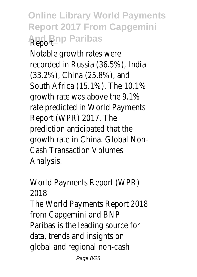## **Online Library World Payments Report 2017 From Capgemini And Bnp Paribas**

Notable growth rates we recorded in Russia (36.5%), India (33.2%), China (25.8%), ar South Africa (15.1%). The 10. growth rate was above the 9 rate predicted in World Paymer Report (WPR) 2017. T prediction anticipated that growth rate in China. Global N Cash Transaction Volume Analysis.

## World Payments Report (WP 2018 The World Payments Report 2018

from Capgemini and BN Paribas is the leading source data, trends and insights global and regional non-cash

Page 8/28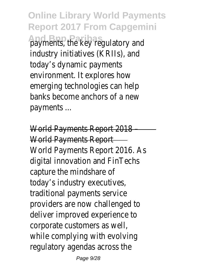**Online Library World Payments Report 2017 From Capgemini And Britis, the key regulatory and payments, the key regulatory and a** industry initiatives (KRIIs), and today's dynamic paymen environment. It explores ho emerging technologies can he banks become anchors of a n payments.

World Payments Report 20 World Payments Report World Payments Report 2016. digital innovation and FinTed capture the mindshare today's industry executive traditional payments servi providers are now challenged deliver improved experience corporate customers as w while complying with evolvi regulatory agendas across t

Page 9/28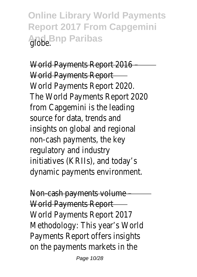**Online Library World Payments Report 2017 From Capgemini And Bnp Paribas** 

World Payments Report 20 World Payments Report World Payments Report 202 The World Payments Report 20 from Capgemini is the leading source for data, trends and insights on global and region non-cash payments, the k regulatory and indust initiatives (KRIIs), and today dynamic payments environme

Non-cash payments volunt World Payments Repo World Payments Report 20 Methodology: This year's Wo Payments Report offers insigl on the payments markets in

Page 10/28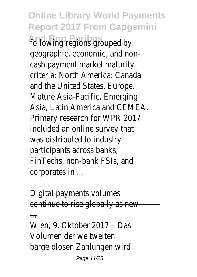**Online Library World Payments Report 2017 From Capgemini** following regions grouped geographic, economic, and no cash payment market matur criteria: North America: Cana and the United States, Euro Mature Asia-Pacific, Emergi Asia, Latin America and CEM Primary research for WPR 20 included an online survey that was distributed to indus participants across bank FinTechs, non-bank FSIs, and corporates in ...

Digital payments volume continue to rise globally as new

Wien, 9. Oktober 2017 - D Volumen der weltweit bargeldlosen Zahlungen wi

...

Page 11/28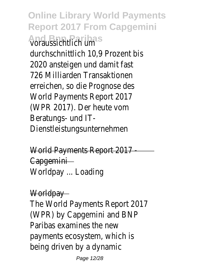**Online Library World Payments Report 2017 From Capgemini And Bnp Paribas** voraussichtlich um durchschnittlich 10.9 Prozent 2020 ansteigen und damit f 726 Milliarden Transaktion erreichen, so die Prognose d World Payments Report 20 (WPR 2017). Der heute  $\nu$ Beratungs- und IT Dienstleistungsunternehm

World Payments Report 20 **Capgemini** Worldpay ... Loadin

Worldpay The World Payments Report 20 (WPR) by Capgemini and BI Paribas examines the new payments ecosystem, which being driven by a dynam

Page 12/28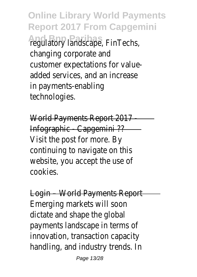**Online Library World Payments Report 2017 From Capgemini** *And Bregulatory landscape, FinTech* changing corporate an customer expectations for val added services, and an increa in payments-enabling technologies.

World Payments Report 20 Infographic - Capgemini ?? Visit the post for more. continuing to navigate on this website, you accept the use cookies.

Login – World Payments Rep Emerging markets will so dictate and shape the glob payments landscape in terms innovation, transaction capac handling, and industry trends.

Page 13/28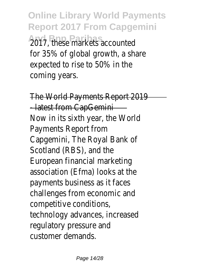**Online Library World Payments Report 2017 From Capgemini 2017, these markets account** for  $35\%$  of global growth, a share expected to rise to 50% in coming years.

The World Payments Report 20 -latest from CapGemi Now in its sixth year, the Wo Payments Report fro Capgemini, The Royal Bank Scotland (RBS), and the European financial marketi association (Efma) looks at payments business as it face challenges from economic a competitive condition technology advances, increas regulatory pressure a customer demand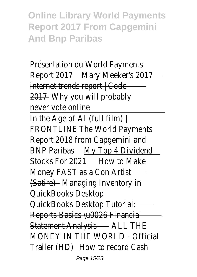**Online Library World Payments Report 2017 From Capgemini And Bnp Paribas**

Présentation du World Payme Report 2017 Mary Meeker's 2017 internet trends report | Co 2017 Why you will probably never vote onlin In the Age of AI (full film FRONTLINE The World Payment Report 2018 from Capgemini BNP Paribas My Top 4 Dividend Stocks For 2021 How to Make Money FAST as a Con Art (Satire) Managing Inventory QuickBooks Deskto QuickBooks Desktop Tutorial: Reports Basics \u0026 Financi Statement Analysis - ALL THE MONEY IN THE WORLD - Officia Trailer (HD) How to record Cash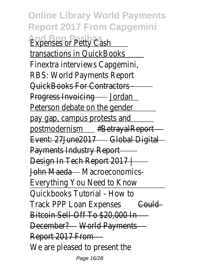**Online Library World Payments Report 2017 From Capgemini Expenses or Petty Cash** transactions in QuickBoo Finextra interviews Capgemi RBS: World Payments Repo QuickBooks For Contractors - Progress Invoicing - Jordan Peterson debate on the gend pay gap, campus protests a postmodernism #BetrayalReport Event: 27June2017 - Global Digital Payments Industry Report Design In Tech Report 2017 | John Maeda Macroeconomics-Everything You Need to Kno Quickbooks Tutorial - How Track PPP Loan Expenses Gould Bitcoin Sell-Off To \$20,000 In December? World Payments Report 2017 From We are pleased to present the Page 16/28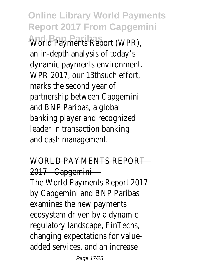**Online Library World Payments Report 2017 From Capgemini World Payments Report (WP** an in-depth analysis of toda dynamic payments environme WPR 2017, our 13thsuch eff marks the second year partnership between Capgem and BNP Paribas, a glob banking player and recognize leader in transaction banki and cash management

WORLD PAYMENTS REPO 2017 - Capgemin The World Payments Report 20 by Capgemini and BNP Parib examines the new paymer ecosystem driven by a dynar regulatory landscape, FinTecl changing expectations for value added services, and an increa

Page 17/28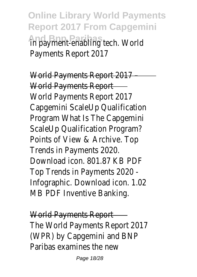**Online Library World Payments Report 2017 From Capgemini And Branch Paris in payment-enabling tech. World** Payments Report 20

World Payments Report 20 World Payments Report World Payments Report 20 Capgemini ScaleUp Qualificati Program What Is The Capgem ScaleUp Qualification Program Points of View & Archive. T Trends in Payments 202 Download icon. 801.87 KB P Top Trends in Payments 202 Infographic. Download icon. 1. MB PDF Inventive Bankir

World Payments Repo The World Payments Report 20 (WPR) by Capgemini and BI Paribas examines the new

Page 18/28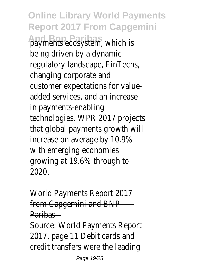**Online Library World Payments Report 2017 From Capgemini And Branch Branch Branch Payments ecosystem, which** being driven by a dynam regulatory landscape, FinTecl changing corporate an customer expectations for valueadded services, and an increa in payments-enabling technologies. WPR 2017 project that global payments growth increase on average by 10.9 with emerging economi growing at 19.6% through 2020.

World Payments Report 20 from Capgemini and BI Paribas

Source: World Payments Repo 2017, page 11 Debit cards  $a$ credit transfers were the lead

Page 19/28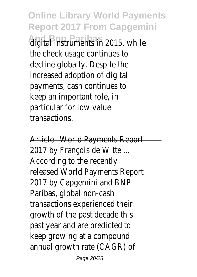**Online Library World Payments Report 2017 From Capgemini And Bnp Paribas** digital instruments in 2015, while the check usage continues decline globally. Despite the increased adoption of digit payments, cash continues keep an important role, particular for low valu **transactions** 

Article | World Payments Rep 2017 by François de Witte. According to the recent released World Payments Repo 2017 by Capgemini and B Paribas, global non-cas transactions experienced th growth of the past decade past year and are predicted keep growing at a compou annual growth rate (CAGR)

Page 20/28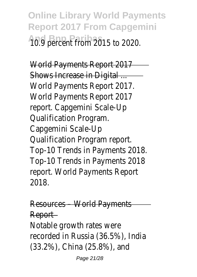**Online Library World Payments Report 2017 From Capgemini And Bnp Paribas** 10.9 percent from 2015 to 2020.

World Payments Report 201 Shows Increase in Digital World Payments Report 20 World Payments Report 20 report. Capgemini Scale-U **Qualification Program** Capgemini Scale-U Qualification Program repo Top-10 Trends in Payments 20 Top-10 Trends in Payments 20 report. World Payments Rep 2018.

Resources – World Paymen Report Notable growth rates w recorded in Russia (36.5%), India (33.2%), China (25.8%), ar

Page 21/28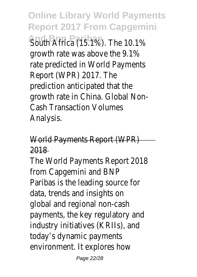**Online Library World Payments Report 2017 From Capgemini South Africa (15.1%). The 10.** growth rate was above the 9 rate predicted in World Paymer Report (WPR) 2017. T prediction anticipated that growth rate in China. Global N Cash Transaction Volume Analysis.

## World Payments Report (WP 2018

The World Payments Report 20 from Capgemini and BN Paribas is the leading source data, trends and insights global and regional non-cas payments, the key regulatory and industry initiatives (KRIIs), and today's dynamic paymen environment. It explores he

Page 22/28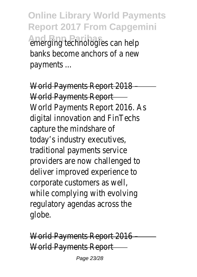**Online Library World Payments Report 2017 From Capgemini And Bing Paribagies can het** banks become anchors of a new payments ...

World Payments Report 20 World Payments Report-World Payments Report 2016. digital innovation and FinTed capture the mindshare today's industry executive traditional payments servi providers are now challenged deliver improved experience corporate customers as w while complying with evolvi regulatory agendas across t globe.

World Payments Report 20 World Payments Report

Page 23/28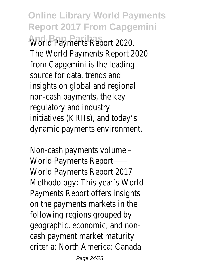**Online Library World Payments Report 2017 From Capgemini World Payments Report 202** The World Payments Report 20 from Capgemini is the leadi source for data, trends and insights on global and region non-cash payments, the k regulatory and indust initiatives (KRIIs), and toda dynamic payments environme

Non-cash payments volun World Payments Report World Payments Report 20 Methodology: This year's Wo Payments Report offers insigl on the payments markets in following regions grouped geographic, economic, and no cash payment market matur criteria: North America: Cana

Page 24/28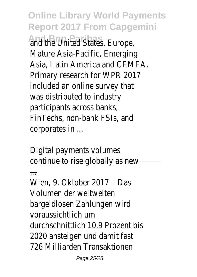**Online Library World Payments Report 2017 From Capgemini And the United States, Europe** Mature Asia-Pacific, Emergi Asia, Latin America and CEM Primary research for WPR 20 included an online survey that was distributed to indus participants across bank FinTechs, non-bank FSIs, and corporates in ...

Digital payments volume continue to rise globally as new

...

Wien, 9. Oktober 2017 - D Volumen der weltweit bargeldlosen Zahlungen wi voraussichtlich um durchschnittlich 10,9 Prozent 2020 ansteigen und damit f 726 Milliarden Transaktion

Page 25/28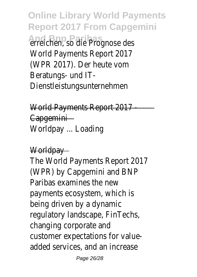**Online Library World Payments Report 2017 From Capgemini And Bnp Paribas** erreichen, so die Prognose des World Payments Report 20 (WPR 2017). Der heute  $\nu$ Beratungs- und IT Dienstleistungsunternehm

World Payments Report 20 Capgemini Worldpay ... Loadin

Worldpay

The World Payments Report 20 (WPR) by Capgemini and BI Paribas examines the new payments ecosystem, which being driven by a dynam regulatory landscape, FinTecl changing corporate and customer expectations for valueadded services, and an increa

Page 26/28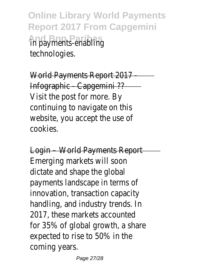**Online Library World Payments Report 2017 From Capgemini And Bnp Paribas** in payments-enabling technologies.

World Payments Report 20 Infographic - Capgemini ? Visit the post for more. continuing to navigate on this website, you accept the use cookies.

Login – World Payments Report Emerging markets will so dictate and shape the glob payments landscape in terms innovation, transaction capacity handling, and industry trends. 2017, these markets account for  $35\%$  of global growth, a sh expected to rise to 50% in coming years.

Page 27/28